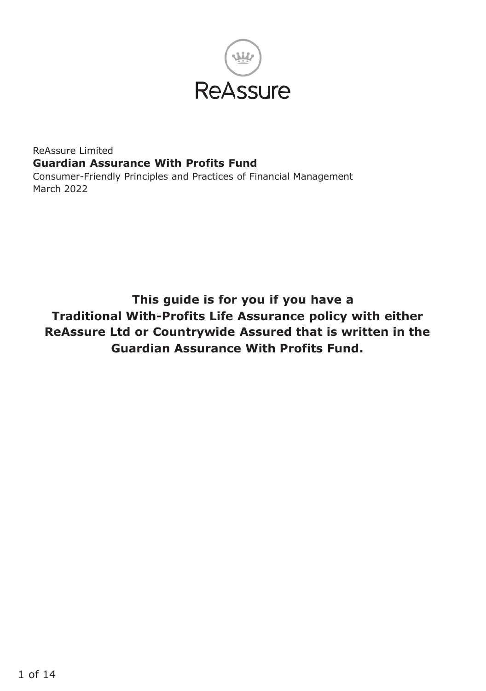

#### ReAssure Limited **Guardian Assurance With Profits Fund** Consumer-Friendly Principles and Practices of Financial Management March 2022

**This guide is for you if you have a Traditional With-Profits Life Assurance policy with either ReAssure Ltd or Countrywide Assured that is written in the Guardian Assurance With Profits Fund.**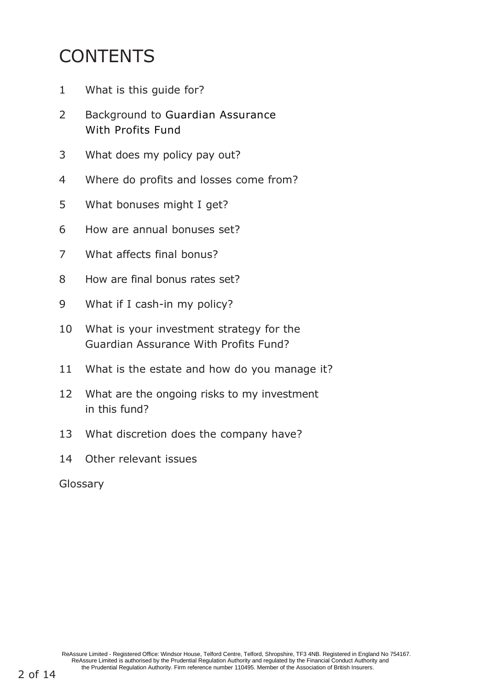# **CONTENTS**

- What is this guide for?
- Background to Guardian Assurance With Profits Fund
- What does my policy pay out?
- Where do profits and losses come from?
- What bonuses might I get?
- How are annual bonuses set?
- What affects final bonus?
- How are final bonus rates set?
- What if I cash-in my policy?
- What is your investment strategy for the Guardian Assurance With Profits Fund?
- What is the estate and how do you manage it?
- What are the ongoing risks to my investment in this fund?
- What discretion does the company have?
- Other relevant issues

Glossary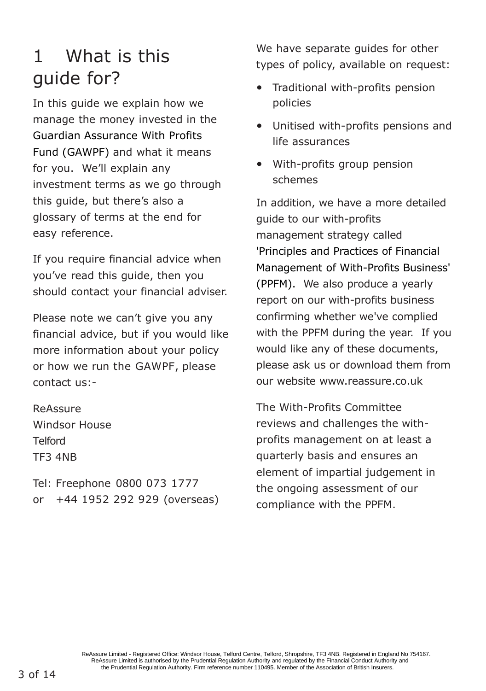### 1 What is this guide for?

In this guide we explain how we manage the money invested in the Guardian Assurance With Profits Fund (GAWPF) and what it means for you. We'll explain any investment terms as we go through this guide, but there's also a glossary of terms at the end for easy reference.

If you require financial advice when you've read this guide, then you should contact your financial adviser.

Please note we can't give you any financial advice, but if you would like more information about your policy or how we run the GAWPF, please contact us:-

ReAssure Windsor House Telford TF3 4NB

Tel: Freephone 0800 073 1777 or +44 1952 292 929 (overseas) We have separate guides for other types of policy, available on request:

- Traditional with-profits pension policies
- Unitised with-profits pensions and life assurances
- With-profits group pension schemes

In addition, we have a more detailed guide to our with-profits management strategy called 'Principles and Practices of Financial Management of With-Profits Business' (PPFM). We also produce a yearly report on our with-profits business confirming whether we've complied with the PPFM during the year. If you would like any of these documents, please ask us or download them from our website [www.reassure.co.uk](http://www.reassure.co.uk/)

The With-Profits Committee reviews and challenges the withprofits management on at least a quarterly basis and ensures an element of impartial judgement in the ongoing assessment of our compliance with the PPFM.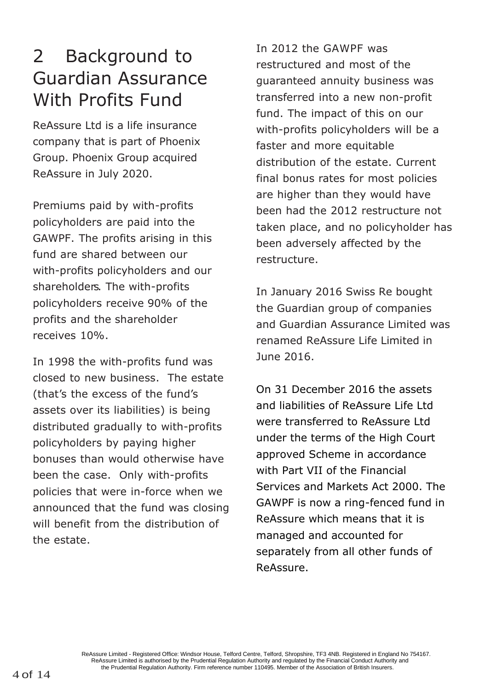## 2 Background to Guardian Assurance With Profits Fund

ReAssure Ltd is a life insurance company that is part of Phoenix Group. Phoenix Group acquired ReAssure in July 2020.

Premiums paid by with-profits policyholders are paid into the GAWPF. The profits arising in this fund are shared between our with-profits policyholders and our shareholders. The with-profits policyholders receive 90% of the profits and the shareholder receives 10%.

In 1998 the with-profits fund was closed to new business. The estate (that's the excess of the fund's assets over its liabilities) is being distributed gradually to with-profits policyholders by paying higher bonuses than would otherwise have been the case. Only with-profits policies that were in-force when we announced that the fund was closing will benefit from the distribution of the estate.

In 2012 the GAWPF was restructured and most of the guaranteed annuity business was transferred into a new non-profit fund. The impact of this on our with-profits policyholders will be a faster and more equitable distribution of the estate. Current final bonus rates for most policies are higher than they would have been had the 2012 restructure not taken place, and no policyholder has been adversely affected by the restructure.

In January 2016 Swiss Re bought the Guardian group of companies and Guardian Assurance Limited was renamed ReAssure Life Limited in June 2016.

On 31 December 2016 the assets and liabilities of ReAssure Life Ltd were transferred to ReAssure Ltd under the terms of the High Court approved Scheme in accordance with Part VII of the Financial Services and Markets Act 2000. The GAWPF is now a ring-fenced fund in ReAssure which means that it is managed and accounted for separately from all other funds of ReAssure.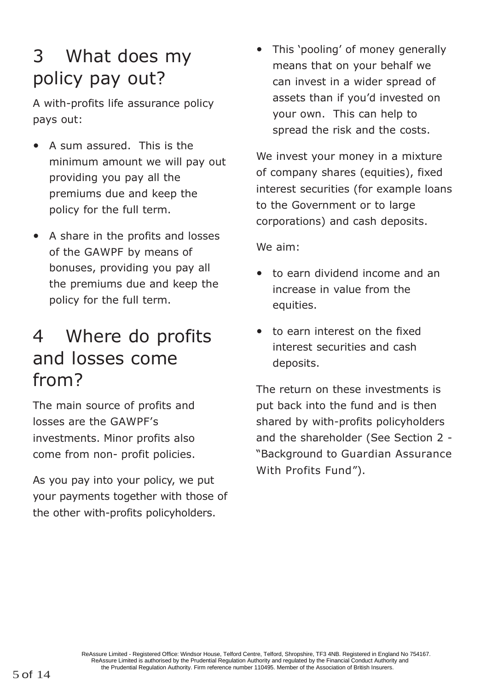# 3 What does my policy pay out?

A with-profits life assurance policy pays out:

- A sum assured. This is the minimum amount we will pay out providing you pay all the premiums due and keep the policy for the full term.
- A share in the profits and losses of the GAWPF by means of bonuses, providing you pay all the premiums due and keep the policy for the full term.

# 4 Where do profits and losses come from?

The main source of profits and losses are the GAWPF's investments. Minor profits also come from non- profit policies.

As you pay into your policy, we put your payments together with those of the other with-profits policyholders.

• This 'pooling' of money generally means that on your behalf we can invest in a wider spread of assets than if you'd invested on your own. This can help to spread the risk and the costs.

We invest your money in a mixture of company shares (equities), fixed interest securities (for example loans to the Government or to large corporations) and cash deposits.

We aim:

- to earn dividend income and an increase in value from the equities.
- to earn interest on the fixed interest securities and cash deposits.

The return on these investments is put back into the fund and is then shared by with-profits policyholders and the shareholder (See Section 2 - "Background to Guardian Assurance With Profits Fund").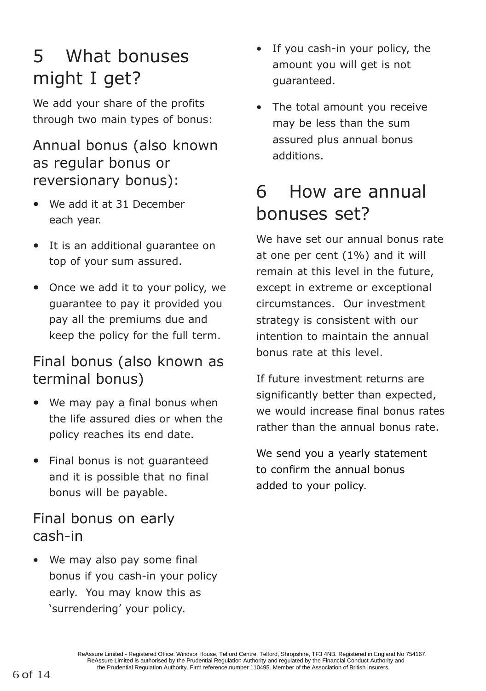# 5 What bonuses might I get?

We add your share of the profits through two main types of bonus:

### Annual bonus (also known as regular bonus or reversionary bonus):

- We add it at 31 December each year.
- It is an additional guarantee on top of your sum assured.
- Once we add it to your policy, we guarantee to pay it provided you pay all the premiums due and keep the policy for the full term.

### Final bonus (also known as terminal bonus)

- We may pay a final bonus when the life assured dies or when the policy reaches its end date.
- Final bonus is not guaranteed and it is possible that no final bonus will be payable.

#### Final bonus on early cash-in

• We may also pay some final bonus if you cash-in your policy early. You may know this as 'surrendering' your policy.

- If you cash-in your policy, the amount you will get is not guaranteed.
- The total amount you receive may be less than the sum assured plus annual bonus additions.

# 6 How are annual bonuses set?

We have set our annual bonus rate at one per cent (1%) and it will remain at this level in the future, except in extreme or exceptional circumstances. Our investment strategy is consistent with our intention to maintain the annual bonus rate at this level.

If future investment returns are significantly better than expected, we would increase final bonus rates rather than the annual bonus rate.

We send you a yearly statement to confirm the annual bonus added to your policy.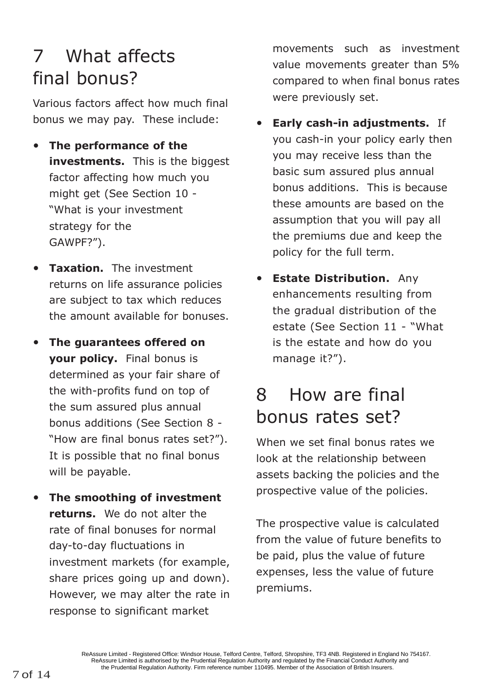# 7 What affects final bonus?

Various factors affect how much final bonus we may pay. These include:

- **The performance of the investments.** This is the biggest factor affecting how much you might get (See Section 10 - "What is your investment strategy for the GAWPF?").
- **Taxation.** The investment returns on life assurance policies are subject to tax which reduces the amount available for bonuses.
- **The guarantees offered on your policy.** Final bonus is determined as your fair share of the with-profits fund on top of the sum assured plus annual bonus additions (See Section 8 - "How are final bonus rates set?"). It is possible that no final bonus will be payable.
- **The smoothing of investment returns.** We do not alter the rate of final bonuses for normal day-to-day fluctuations in investment markets (for example, share prices going up and down). However, we may alter the rate in response to significant market

movements such as investment value movements greater than 5% compared to when final bonus rates were previously set.

- **Early cash-in adjustments.** If you cash-in your policy early then you may receive less than the basic sum assured plus annual bonus additions. This is because these amounts are based on the assumption that you will pay all the premiums due and keep the policy for the full term.
- **Estate Distribution.** Any enhancements resulting from the gradual distribution of the estate (See Section 11 - "What is the estate and how do you manage it?").

# 8 How are final bonus rates set?

When we set final bonus rates we look at the relationship between assets backing the policies and the prospective value of the policies.

The prospective value is calculated from the value of future benefits to be paid, plus the value of future expenses, less the value of future premiums.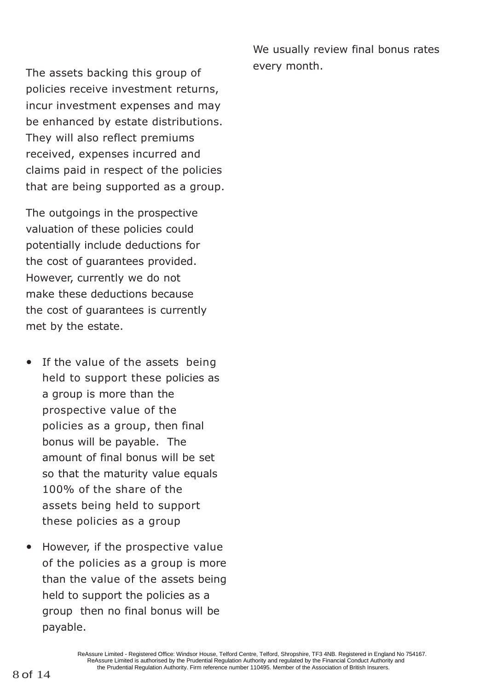We usually review final bonus rates every month.

The assets backing this group of policies receive investment returns, incur investment expenses and may be enhanced by estate distributions. They will also reflect premiums received, expenses incurred and claims paid in respect of the policies that are being supported as a group.

The outgoings in the prospective valuation of these policies could potentially include deductions for the cost of guarantees provided. However, currently we do not make these deductions because the cost of guarantees is currently met by the estate.

- If the value of the assets being held to support these policies as a group is more than the prospective value of the policies as a group, then final bonus will be payable. The amount of final bonus will be set so that the maturity value equals 100% of the share of the assets being held to support these policies as a group
- However, if the prospective value of the policies as a group is more than the value of the assets being held to support the policies as a group then no final bonus will be payable.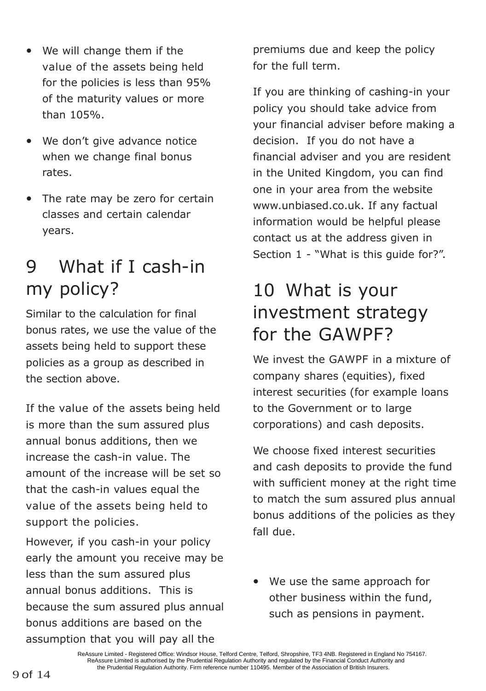- We will change them if the value of the assets being held for the policies is less than 95% of the maturity values or more than 105%.
- We don't give advance notice when we change final bonus rates.
- The rate may be zero for certain classes and certain calendar years.

### 9 What if I cash-in my policy?

Similar to the calculation for final bonus rates, we use the value of the assets being held to support these policies as a group as described in the section above.

If the value of the assets being held is more than the sum assured plus annual bonus additions, then we increase the cash-in value. The amount of the increase will be set so that the cash-in values equal the value of the assets being held to support the policies.

However, if you cash-in your policy early the amount you receive may be less than the sum assured plus annual bonus additions. This is because the sum assured plus annual bonus additions are based on the assumption that you will pay all the

premiums due and keep the policy for the full term.

If you are thinking of cashing-in your policy you should take advice from your financial adviser before making a decision. If you do not have a financial adviser and you are resident in the United Kingdom, you can find one in your area from the website [www.unbiased.co.uk.](http://www.unbiased.co.uk/) If any factual information would be helpful please contact us at the address given in Section 1 - "What is this guide for?".

# 10 What is your investment strategy for the GAWPF?

We invest the GAWPF in a mixture of company shares (equities), fixed interest securities (for example loans to the Government or to large corporations) and cash deposits.

We choose fixed interest securities and cash deposits to provide the fund with sufficient money at the right time to match the sum assured plus annual bonus additions of the policies as they fall due.

• We use the same approach for other business within the fund, such as pensions in payment.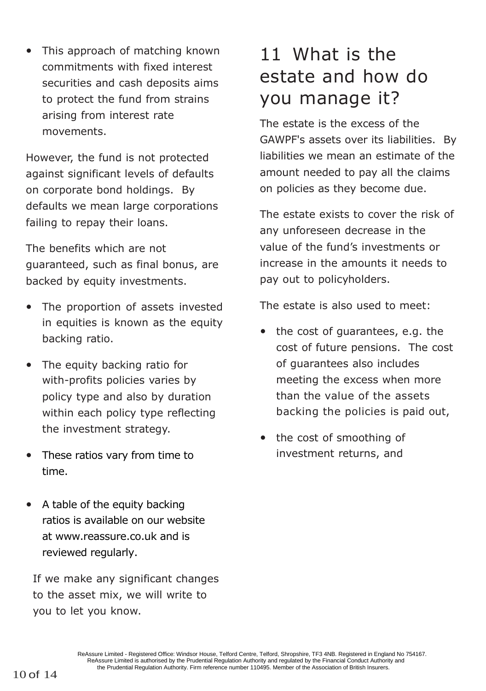• This approach of matching known commitments with fixed interest securities and cash deposits aims to protect the fund from strains arising from interest rate movements.

However, the fund is not protected against significant levels of defaults on corporate bond holdings. By defaults we mean large corporations failing to repay their loans.

The benefits which are not guaranteed, such as final bonus, are backed by equity investments.

- The proportion of assets invested in equities is known as the equity backing ratio.
- The equity backing ratio for with-profits policies varies by policy type and also by duration within each policy type reflecting the investment strategy.
- These ratios vary from time to time.
- A table of the equity backing ratios is available on our website at www.reassure.co.uk and is reviewed regularly.

If we make any significant changes to the asset mix, we will write to you to let you know.

### 11 What is the estate and how do you manage it?

The estate is the excess of the GAWPF's assets over its liabilities. By liabilities we mean an estimate of the amount needed to pay all the claims on policies as they become due.

The estate exists to cover the risk of any unforeseen decrease in the value of the fund's investments or increase in the amounts it needs to pay out to policyholders.

The estate is also used to meet:

- the cost of guarantees, e.g. the cost of future pensions. The cost of guarantees also includes meeting the excess when more than the value of the assets backing the policies is paid out,
- the cost of smoothing of investment returns, and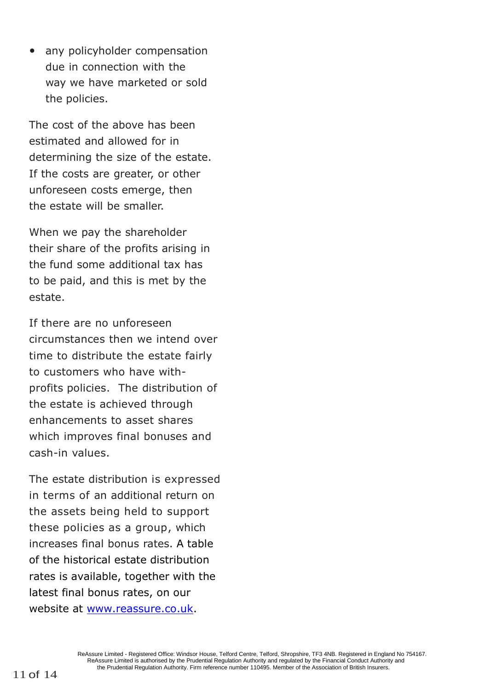• any policyholder compensation due in connection with the way we have marketed or sold the policies.

The cost of the above has been estimated and allowed for in determining the size of the estate. If the costs are greater, or other unforeseen costs emerge, then the estate will be smaller.

When we pay the shareholder their share of the profits arising in the fund some additional tax has to be paid, and this is met by the estate.

If there are no unforeseen circumstances then we intend over time to distribute the estate fairly to customers who have withprofits policies. The distribution of the estate is achieved through enhancements to asset shares which improves final bonuses and cash-in values.

The estate distribution is expressed in terms of an additional return on the assets being held to support these policies as a group, which increases final bonus rates. A table of the historical estate distribution rates is available, together with the latest final bonus rates, on our website at [www.reassure.co.uk.](http://www.reassure.co.uk/)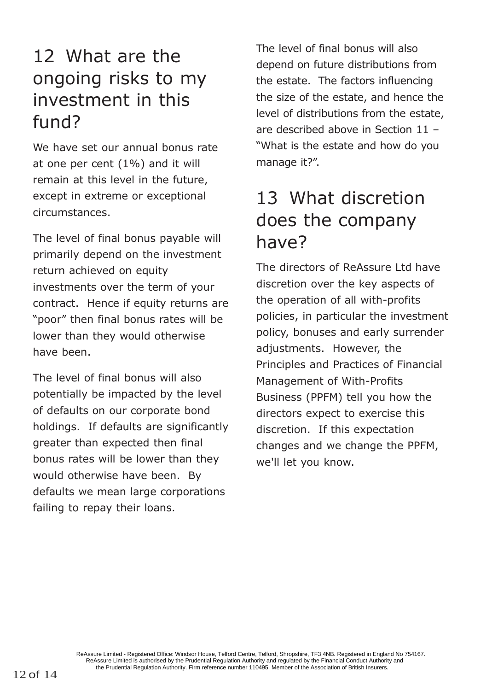# 12 What are the ongoing risks to my investment in this fund?

We have set our annual bonus rate at one per cent (1%) and it will remain at this level in the future, except in extreme or exceptional circumstances.

The level of final bonus payable will primarily depend on the investment return achieved on equity investments over the term of your contract. Hence if equity returns are "poor" then final bonus rates will be lower than they would otherwise have been.

The level of final bonus will also potentially be impacted by the level of defaults on our corporate bond holdings. If defaults are significantly greater than expected then final bonus rates will be lower than they would otherwise have been. By defaults we mean large corporations failing to repay their loans.

The level of final bonus will also depend on future distributions from the estate. The factors influencing the size of the estate, and hence the level of distributions from the estate, are described above in Section 11 – "What is the estate and how do you manage it?".

# 13 What discretion does the company have?

The directors of ReAssure Ltd have discretion over the key aspects of the operation of all with-profits policies, in particular the investment policy, bonuses and early surrender adjustments. However, the Principles and Practices of Financial Management of With-Profits Business (PPFM) tell you how the directors expect to exercise this discretion. If this expectation changes and we change the PPFM, we'll let you know.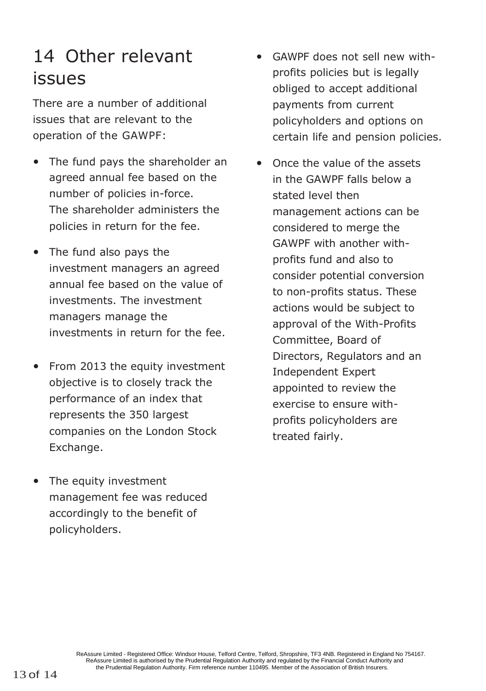# 14 Other relevant issues

There are a number of additional issues that are relevant to the operation of the GAWPF:

- The fund pays the shareholder an agreed annual fee based on the number of policies in-force. The shareholder administers the policies in return for the fee.
- The fund also pays the investment managers an agreed annual fee based on the value of investments. The investment managers manage the investments in return for the fee.
- From 2013 the equity investment objective is to closely track the performance of an index that represents the 350 largest companies on the London Stock Exchange.
- The equity investment management fee was reduced accordingly to the benefit of policyholders.
- GAWPF does not sell new withprofits policies but is legally obliged to accept additional payments from current policyholders and options on certain life and pension policies.
- Once the value of the assets in the GAWPF falls below a stated level then management actions can be considered to merge the GAWPF with another withprofits fund and also to consider potential conversion to non-profits status. These actions would be subject to approval of the With-Profits Committee, Board of Directors, Regulators and an Independent Expert appointed to review the exercise to ensure withprofits policyholders are treated fairly.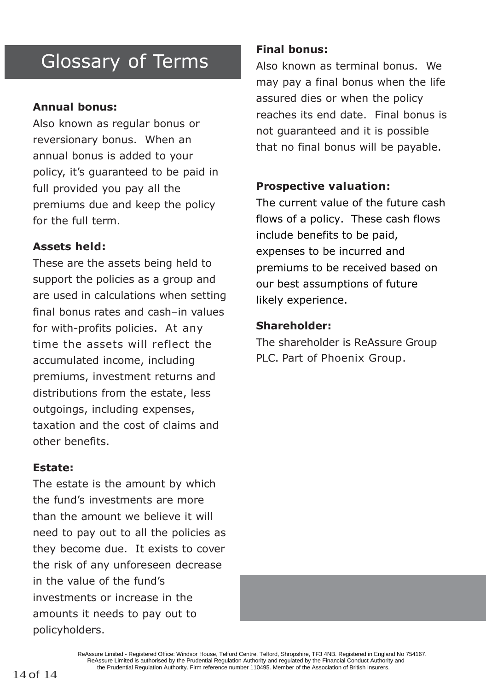### Glossary of Terms

#### **Annual bonus:**

Also known as regular bonus or reversionary bonus. When an annual bonus is added to your policy, it's guaranteed to be paid in full provided you pay all the premiums due and keep the policy for the full term.

#### **Assets held:**

These are the assets being held to support the policies as a group and are used in calculations when setting final bonus rates and cash–in values for with-profits policies. At any time the assets will reflect the accumulated income, including premiums, investment returns and distributions from the estate, less outgoings, including expenses, taxation and the cost of claims and other benefits.

#### **Estate:**

The estate is the amount by which the fund's investments are more than the amount we believe it will need to pay out to all the policies as they become due. It exists to cover the risk of any unforeseen decrease in the value of the fund's investments or increase in the amounts it needs to pay out to policyholders.

#### **Final bonus:**

Also known as terminal bonus. We may pay a final bonus when the life assured dies or when the policy reaches its end date. Final bonus is not guaranteed and it is possible that no final bonus will be payable.

#### **Prospective valuation:**

The current value of the future cash flows of a policy. These cash flows include benefits to be paid, expenses to be incurred and premiums to be received based on our best assumptions of future likely experience.

#### **Shareholder:**

The shareholder is ReAssure Group PLC. Part of Phoenix Group.